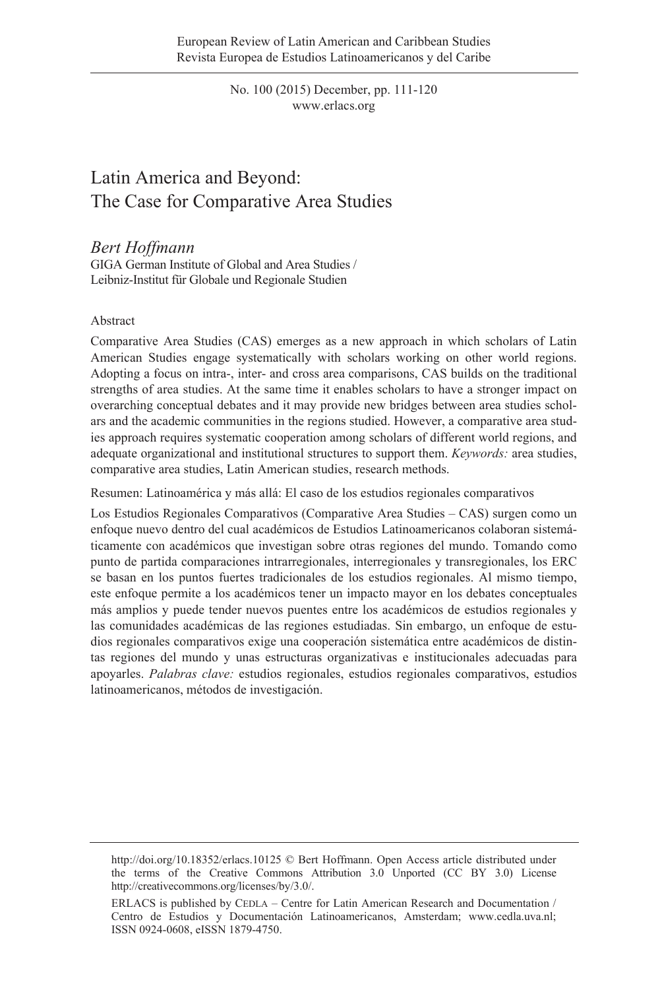No. 100 (2015) December, pp. 111-120 www.erlacs.org

# Latin America and Beyond: The Case for Comparative Area Studies

# *Bert Hoffmann*

GIGA German Institute of Global and Area Studies / Leibniz-Institut für Globale und Regionale Studien

#### Abstract

Comparative Area Studies (CAS) emerges as a new approach in which scholars of Latin American Studies engage systematically with scholars working on other world regions. Adopting a focus on intra-, inter- and cross area comparisons, CAS builds on the traditional strengths of area studies. At the same time it enables scholars to have a stronger impact on overarching conceptual debates and it may provide new bridges between area studies scholars and the academic communities in the regions studied. However, a comparative area studies approach requires systematic cooperation among scholars of different world regions, and adequate organizational and institutional structures to support them. *Keywords:* area studies, comparative area studies, Latin American studies, research methods.

Resumen: Latinoamérica y más allá: El caso de los estudios regionales comparativos

Los Estudios Regionales Comparativos (Comparative Area Studies – CAS) surgen como un enfoque nuevo dentro del cual académicos de Estudios Latinoamericanos colaboran sistemáticamente con académicos que investigan sobre otras regiones del mundo. Tomando como punto de partida comparaciones intrarregionales, interregionales y transregionales, los ERC se basan en los puntos fuertes tradicionales de los estudios regionales. Al mismo tiempo, este enfoque permite a los académicos tener un impacto mayor en los debates conceptuales más amplios y puede tender nuevos puentes entre los académicos de estudios regionales y las comunidades académicas de las regiones estudiadas. Sin embargo, un enfoque de estudios regionales comparativos exige una cooperación sistemática entre académicos de distintas regiones del mundo y unas estructuras organizativas e institucionales adecuadas para apoyarles. *Palabras clave:* estudios regionales, estudios regionales comparativos, estudios latinoamericanos, métodos de investigación.

http://doi.org/10.18352/erlacs.10125 © Bert Hoffmann. Open Access article distributed under the terms of the Creative Commons Attribution 3.0 Unported (CC BY 3.0) License http://creativecommons.org/licenses/by/3.0/.

ERLACS is published by CEDLA – Centre for Latin American Research and Documentation / Centro de Estudios y Documentación Latinoamericanos, Amsterdam; www.cedla.uva.nl; ISSN 0924-0608, eISSN 1879-4750.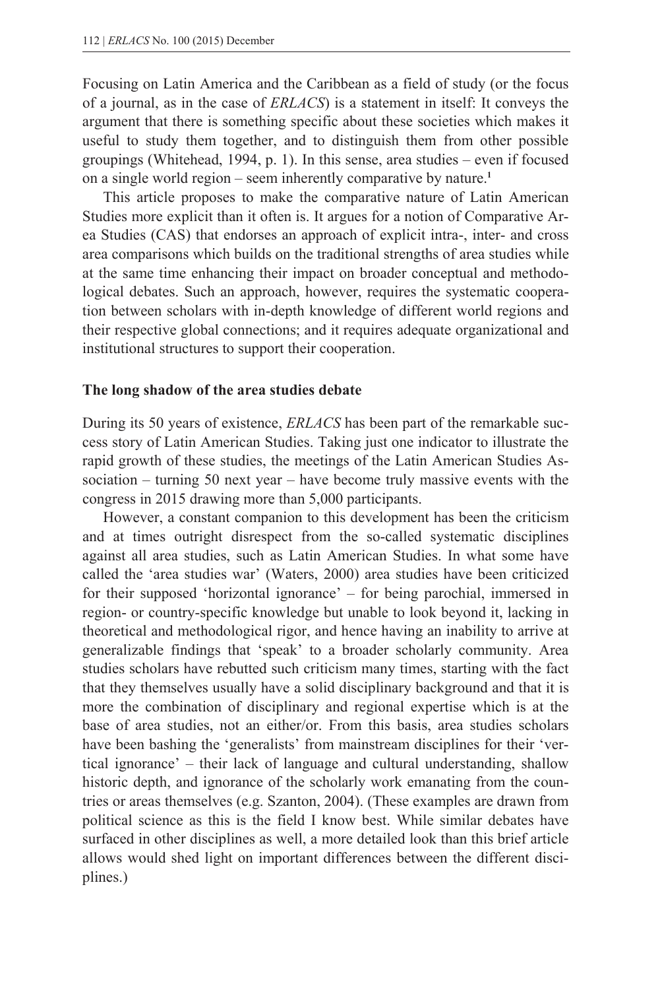Focusing on Latin America and the Caribbean as a field of study (or the focus of a journal, as in the case of *ERLACS*) is a statement in itself: It conveys the argument that there is something specific about these societies which makes it useful to study them together, and to distinguish them from other possible groupings (Whitehead, 1994, p. 1). In this sense, area studies – even if focused on a single world region – seem inherently comparative by nature.**<sup>1</sup>**

 This article proposes to make the comparative nature of Latin American Studies more explicit than it often is. It argues for a notion of Comparative Area Studies (CAS) that endorses an approach of explicit intra-, inter- and cross area comparisons which builds on the traditional strengths of area studies while at the same time enhancing their impact on broader conceptual and methodological debates. Such an approach, however, requires the systematic cooperation between scholars with in-depth knowledge of different world regions and their respective global connections; and it requires adequate organizational and institutional structures to support their cooperation.

#### **The long shadow of the area studies debate**

During its 50 years of existence, *ERLACS* has been part of the remarkable success story of Latin American Studies. Taking just one indicator to illustrate the rapid growth of these studies, the meetings of the Latin American Studies Association – turning 50 next year – have become truly massive events with the congress in 2015 drawing more than 5,000 participants.

 However, a constant companion to this development has been the criticism and at times outright disrespect from the so-called systematic disciplines against all area studies, such as Latin American Studies. In what some have called the 'area studies war' (Waters, 2000) area studies have been criticized for their supposed 'horizontal ignorance' – for being parochial, immersed in region- or country-specific knowledge but unable to look beyond it, lacking in theoretical and methodological rigor, and hence having an inability to arrive at generalizable findings that 'speak' to a broader scholarly community. Area studies scholars have rebutted such criticism many times, starting with the fact that they themselves usually have a solid disciplinary background and that it is more the combination of disciplinary and regional expertise which is at the base of area studies, not an either/or. From this basis, area studies scholars have been bashing the 'generalists' from mainstream disciplines for their 'vertical ignorance' – their lack of language and cultural understanding, shallow historic depth, and ignorance of the scholarly work emanating from the countries or areas themselves (e.g. Szanton, 2004). (These examples are drawn from political science as this is the field I know best. While similar debates have surfaced in other disciplines as well, a more detailed look than this brief article allows would shed light on important differences between the different disciplines.)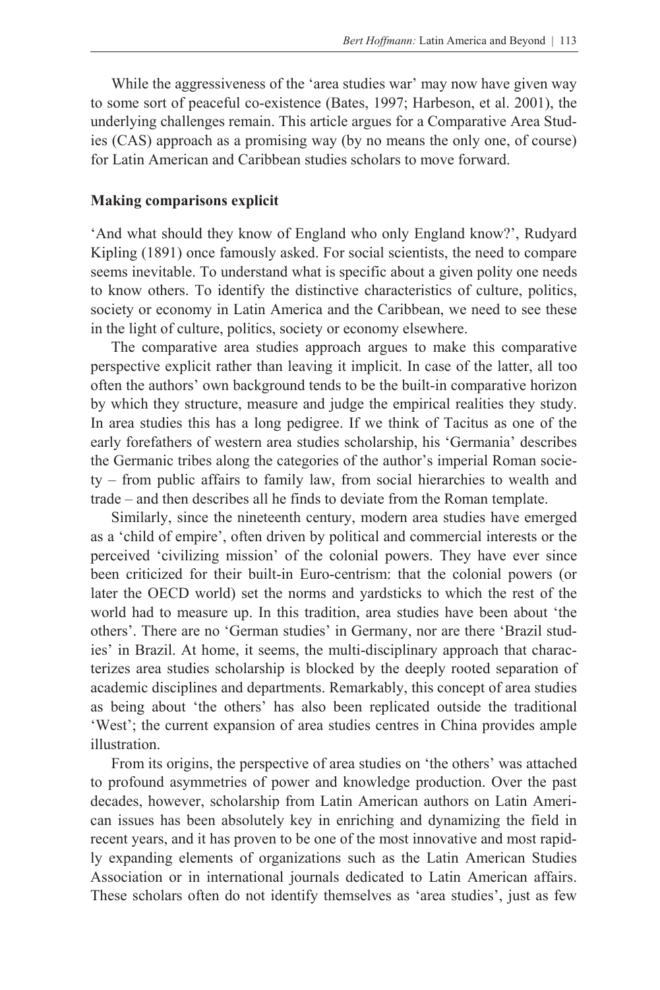While the aggressiveness of the 'area studies war' may now have given way to some sort of peaceful co-existence (Bates, 1997; Harbeson, et al. 2001), the underlying challenges remain. This article argues for a Comparative Area Studies (CAS) approach as a promising way (by no means the only one, of course) for Latin American and Caribbean studies scholars to move forward.

#### **Making comparisons explicit**

'And what should they know of England who only England know?', Rudyard Kipling (1891) once famously asked. For social scientists, the need to compare seems inevitable. To understand what is specific about a given polity one needs to know others. To identify the distinctive characteristics of culture, politics, society or economy in Latin America and the Caribbean, we need to see these in the light of culture, politics, society or economy elsewhere.

 The comparative area studies approach argues to make this comparative perspective explicit rather than leaving it implicit. In case of the latter, all too often the authors' own background tends to be the built-in comparative horizon by which they structure, measure and judge the empirical realities they study. In area studies this has a long pedigree. If we think of Tacitus as one of the early forefathers of western area studies scholarship, his 'Germania' describes the Germanic tribes along the categories of the author's imperial Roman society – from public affairs to family law, from social hierarchies to wealth and trade – and then describes all he finds to deviate from the Roman template.

 Similarly, since the nineteenth century, modern area studies have emerged as a 'child of empire', often driven by political and commercial interests or the perceived 'civilizing mission' of the colonial powers. They have ever since been criticized for their built-in Euro-centrism: that the colonial powers (or later the OECD world) set the norms and yardsticks to which the rest of the world had to measure up. In this tradition, area studies have been about 'the others'. There are no 'German studies' in Germany, nor are there 'Brazil studies' in Brazil. At home, it seems, the multi-disciplinary approach that characterizes area studies scholarship is blocked by the deeply rooted separation of academic disciplines and departments. Remarkably, this concept of area studies as being about 'the others' has also been replicated outside the traditional 'West'; the current expansion of area studies centres in China provides ample illustration.

 From its origins, the perspective of area studies on 'the others' was attached to profound asymmetries of power and knowledge production. Over the past decades, however, scholarship from Latin American authors on Latin American issues has been absolutely key in enriching and dynamizing the field in recent years, and it has proven to be one of the most innovative and most rapidly expanding elements of organizations such as the Latin American Studies Association or in international journals dedicated to Latin American affairs. These scholars often do not identify themselves as 'area studies', just as few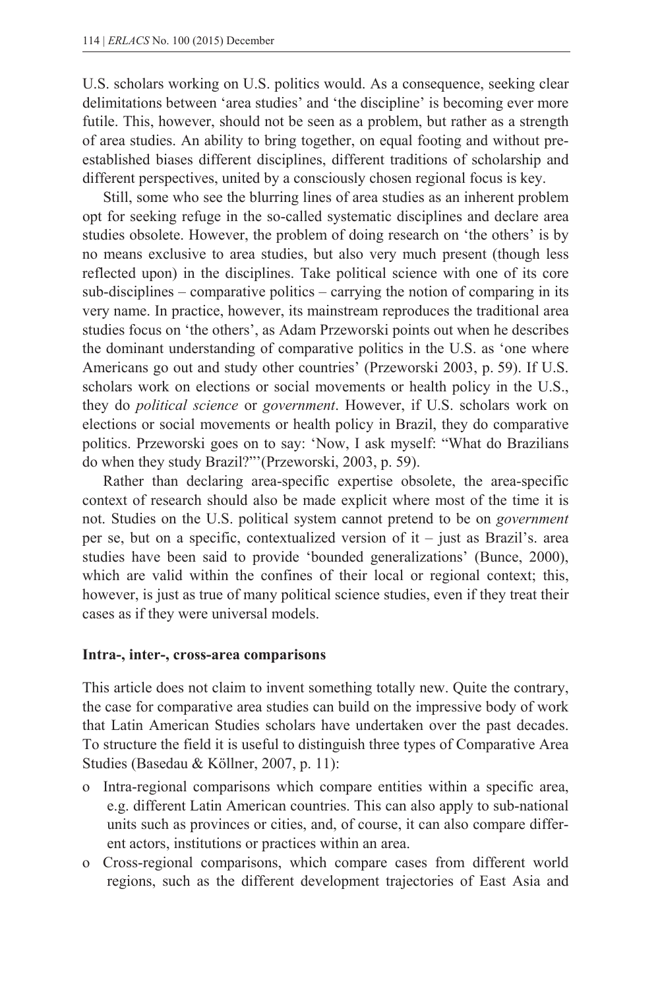U.S. scholars working on U.S. politics would. As a consequence, seeking clear delimitations between 'area studies' and 'the discipline' is becoming ever more futile. This, however, should not be seen as a problem, but rather as a strength of area studies. An ability to bring together, on equal footing and without preestablished biases different disciplines, different traditions of scholarship and different perspectives, united by a consciously chosen regional focus is key.

 Still, some who see the blurring lines of area studies as an inherent problem opt for seeking refuge in the so-called systematic disciplines and declare area studies obsolete. However, the problem of doing research on 'the others' is by no means exclusive to area studies, but also very much present (though less reflected upon) in the disciplines. Take political science with one of its core sub-disciplines – comparative politics – carrying the notion of comparing in its very name. In practice, however, its mainstream reproduces the traditional area studies focus on 'the others', as Adam Przeworski points out when he describes the dominant understanding of comparative politics in the U.S. as 'one where Americans go out and study other countries' (Przeworski 2003, p. 59). If U.S. scholars work on elections or social movements or health policy in the U.S., they do *political science* or *government*. However, if U.S. scholars work on elections or social movements or health policy in Brazil, they do comparative politics. Przeworski goes on to say: 'Now, I ask myself: "What do Brazilians do when they study Brazil?"'(Przeworski, 2003, p. 59).

 Rather than declaring area-specific expertise obsolete, the area-specific context of research should also be made explicit where most of the time it is not. Studies on the U.S. political system cannot pretend to be on *government* per se, but on a specific, contextualized version of it – just as Brazil's. area studies have been said to provide 'bounded generalizations' (Bunce, 2000), which are valid within the confines of their local or regional context; this, however, is just as true of many political science studies, even if they treat their cases as if they were universal models.

#### **Intra-, inter-, cross-area comparisons**

This article does not claim to invent something totally new. Quite the contrary, the case for comparative area studies can build on the impressive body of work that Latin American Studies scholars have undertaken over the past decades. To structure the field it is useful to distinguish three types of Comparative Area Studies (Basedau & Köllner, 2007, p. 11):

- o Intra-regional comparisons which compare entities within a specific area, e.g. different Latin American countries. This can also apply to sub-national units such as provinces or cities, and, of course, it can also compare different actors, institutions or practices within an area.
- o Cross-regional comparisons, which compare cases from different world regions, such as the different development trajectories of East Asia and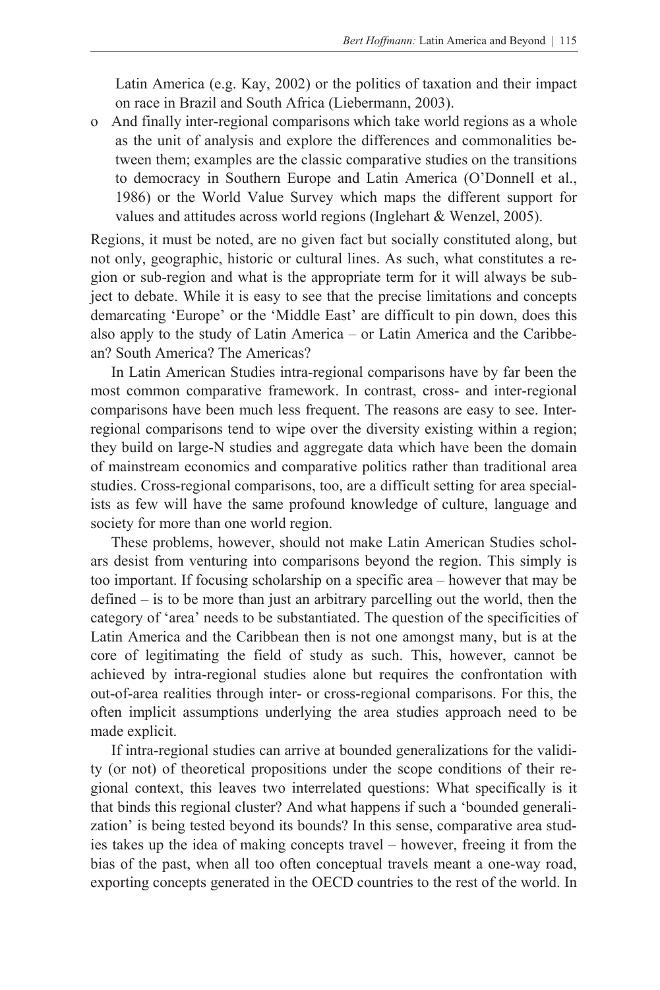Latin America (e.g. Kay, 2002) or the politics of taxation and their impact on race in Brazil and South Africa (Liebermann, 2003).

o And finally inter-regional comparisons which take world regions as a whole as the unit of analysis and explore the differences and commonalities between them; examples are the classic comparative studies on the transitions to democracy in Southern Europe and Latin America (O'Donnell et al., 1986) or the World Value Survey which maps the different support for values and attitudes across world regions (Inglehart & Wenzel, 2005).

Regions, it must be noted, are no given fact but socially constituted along, but not only, geographic, historic or cultural lines. As such, what constitutes a region or sub-region and what is the appropriate term for it will always be subject to debate. While it is easy to see that the precise limitations and concepts demarcating 'Europe' or the 'Middle East' are difficult to pin down, does this also apply to the study of Latin America – or Latin America and the Caribbean? South America? The Americas?

 In Latin American Studies intra-regional comparisons have by far been the most common comparative framework. In contrast, cross- and inter-regional comparisons have been much less frequent. The reasons are easy to see. Interregional comparisons tend to wipe over the diversity existing within a region; they build on large-N studies and aggregate data which have been the domain of mainstream economics and comparative politics rather than traditional area studies. Cross-regional comparisons, too, are a difficult setting for area specialists as few will have the same profound knowledge of culture, language and society for more than one world region.

 These problems, however, should not make Latin American Studies scholars desist from venturing into comparisons beyond the region. This simply is too important. If focusing scholarship on a specific area – however that may be defined – is to be more than just an arbitrary parcelling out the world, then the category of 'area' needs to be substantiated. The question of the specificities of Latin America and the Caribbean then is not one amongst many, but is at the core of legitimating the field of study as such. This, however, cannot be achieved by intra-regional studies alone but requires the confrontation with out-of-area realities through inter- or cross-regional comparisons. For this, the often implicit assumptions underlying the area studies approach need to be made explicit.

 If intra-regional studies can arrive at bounded generalizations for the validity (or not) of theoretical propositions under the scope conditions of their regional context, this leaves two interrelated questions: What specifically is it that binds this regional cluster? And what happens if such a 'bounded generalization' is being tested beyond its bounds? In this sense, comparative area studies takes up the idea of making concepts travel – however, freeing it from the bias of the past, when all too often conceptual travels meant a one-way road, exporting concepts generated in the OECD countries to the rest of the world. In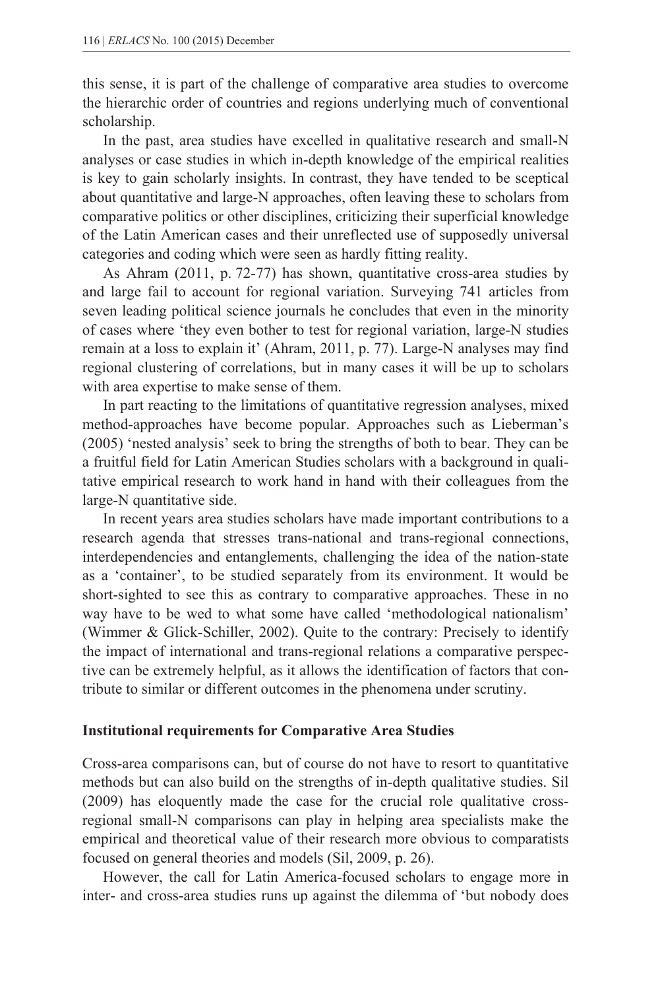this sense, it is part of the challenge of comparative area studies to overcome the hierarchic order of countries and regions underlying much of conventional scholarship.

 In the past, area studies have excelled in qualitative research and small-N analyses or case studies in which in-depth knowledge of the empirical realities is key to gain scholarly insights. In contrast, they have tended to be sceptical about quantitative and large-N approaches, often leaving these to scholars from comparative politics or other disciplines, criticizing their superficial knowledge of the Latin American cases and their unreflected use of supposedly universal categories and coding which were seen as hardly fitting reality.

 As Ahram (2011, p. 72-77) has shown, quantitative cross-area studies by and large fail to account for regional variation. Surveying 741 articles from seven leading political science journals he concludes that even in the minority of cases where 'they even bother to test for regional variation, large-N studies remain at a loss to explain it' (Ahram, 2011, p. 77). Large-N analyses may find regional clustering of correlations, but in many cases it will be up to scholars with area expertise to make sense of them.

 In part reacting to the limitations of quantitative regression analyses, mixed method-approaches have become popular. Approaches such as Lieberman's (2005) 'nested analysis' seek to bring the strengths of both to bear. They can be a fruitful field for Latin American Studies scholars with a background in qualitative empirical research to work hand in hand with their colleagues from the large-N quantitative side.

 In recent years area studies scholars have made important contributions to a research agenda that stresses trans-national and trans-regional connections, interdependencies and entanglements, challenging the idea of the nation-state as a 'container', to be studied separately from its environment. It would be short-sighted to see this as contrary to comparative approaches. These in no way have to be wed to what some have called 'methodological nationalism' (Wimmer & Glick-Schiller, 2002). Quite to the contrary: Precisely to identify the impact of international and trans-regional relations a comparative perspective can be extremely helpful, as it allows the identification of factors that contribute to similar or different outcomes in the phenomena under scrutiny.

#### **Institutional requirements for Comparative Area Studies**

Cross-area comparisons can, but of course do not have to resort to quantitative methods but can also build on the strengths of in-depth qualitative studies. Sil (2009) has eloquently made the case for the crucial role qualitative crossregional small-N comparisons can play in helping area specialists make the empirical and theoretical value of their research more obvious to comparatists focused on general theories and models (Sil, 2009, p. 26).

 However, the call for Latin America-focused scholars to engage more in inter- and cross-area studies runs up against the dilemma of 'but nobody does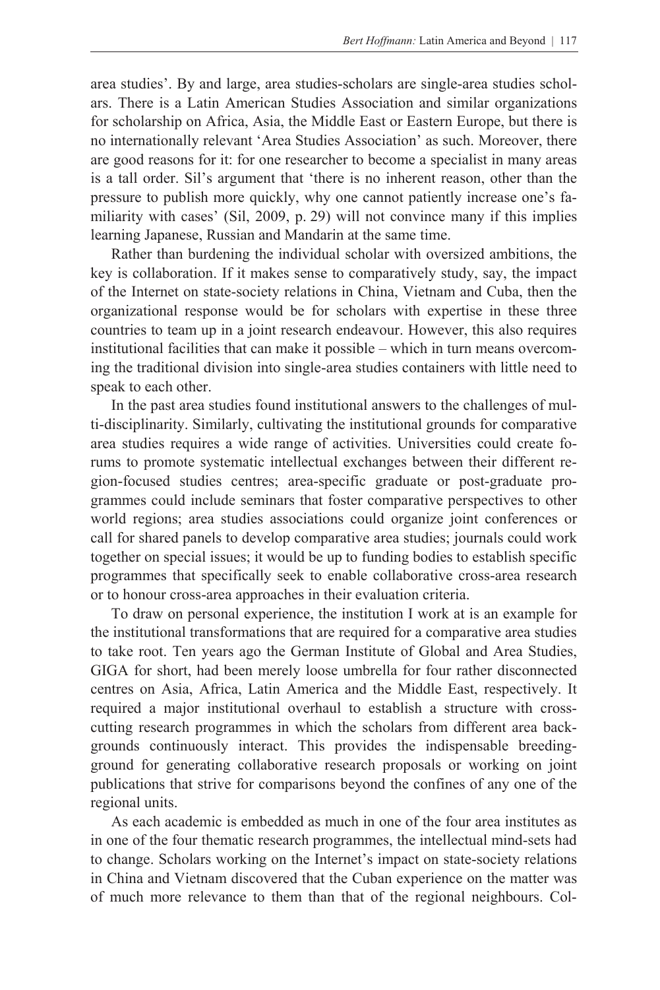area studies'. By and large, area studies-scholars are single-area studies scholars. There is a Latin American Studies Association and similar organizations for scholarship on Africa, Asia, the Middle East or Eastern Europe, but there is no internationally relevant 'Area Studies Association' as such. Moreover, there are good reasons for it: for one researcher to become a specialist in many areas is a tall order. Sil's argument that 'there is no inherent reason, other than the pressure to publish more quickly, why one cannot patiently increase one's familiarity with cases' (Sil, 2009, p. 29) will not convince many if this implies learning Japanese, Russian and Mandarin at the same time.

 Rather than burdening the individual scholar with oversized ambitions, the key is collaboration. If it makes sense to comparatively study, say, the impact of the Internet on state-society relations in China, Vietnam and Cuba, then the organizational response would be for scholars with expertise in these three countries to team up in a joint research endeavour. However, this also requires institutional facilities that can make it possible – which in turn means overcoming the traditional division into single-area studies containers with little need to speak to each other.

 In the past area studies found institutional answers to the challenges of multi-disciplinarity. Similarly, cultivating the institutional grounds for comparative area studies requires a wide range of activities. Universities could create forums to promote systematic intellectual exchanges between their different region-focused studies centres; area-specific graduate or post-graduate programmes could include seminars that foster comparative perspectives to other world regions; area studies associations could organize joint conferences or call for shared panels to develop comparative area studies; journals could work together on special issues; it would be up to funding bodies to establish specific programmes that specifically seek to enable collaborative cross-area research or to honour cross-area approaches in their evaluation criteria.

 To draw on personal experience, the institution I work at is an example for the institutional transformations that are required for a comparative area studies to take root. Ten years ago the German Institute of Global and Area Studies, GIGA for short, had been merely loose umbrella for four rather disconnected centres on Asia, Africa, Latin America and the Middle East, respectively. It required a major institutional overhaul to establish a structure with crosscutting research programmes in which the scholars from different area backgrounds continuously interact. This provides the indispensable breedingground for generating collaborative research proposals or working on joint publications that strive for comparisons beyond the confines of any one of the regional units.

 As each academic is embedded as much in one of the four area institutes as in one of the four thematic research programmes, the intellectual mind-sets had to change. Scholars working on the Internet's impact on state-society relations in China and Vietnam discovered that the Cuban experience on the matter was of much more relevance to them than that of the regional neighbours. Col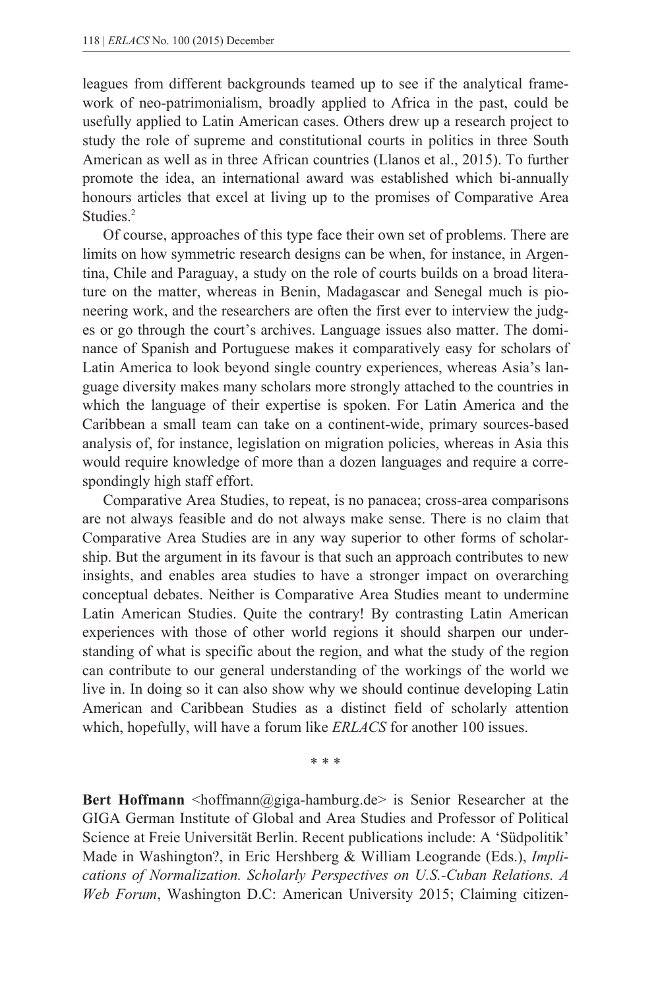leagues from different backgrounds teamed up to see if the analytical framework of neo-patrimonialism, broadly applied to Africa in the past, could be usefully applied to Latin American cases. Others drew up a research project to study the role of supreme and constitutional courts in politics in three South American as well as in three African countries (Llanos et al., 2015). To further promote the idea, an international award was established which bi-annually honours articles that excel at living up to the promises of Comparative Area Studies.<sup>2</sup>

 Of course, approaches of this type face their own set of problems. There are limits on how symmetric research designs can be when, for instance, in Argentina, Chile and Paraguay, a study on the role of courts builds on a broad literature on the matter, whereas in Benin, Madagascar and Senegal much is pioneering work, and the researchers are often the first ever to interview the judges or go through the court's archives. Language issues also matter. The dominance of Spanish and Portuguese makes it comparatively easy for scholars of Latin America to look beyond single country experiences, whereas Asia's language diversity makes many scholars more strongly attached to the countries in which the language of their expertise is spoken. For Latin America and the Caribbean a small team can take on a continent-wide, primary sources-based analysis of, for instance, legislation on migration policies, whereas in Asia this would require knowledge of more than a dozen languages and require a correspondingly high staff effort.

 Comparative Area Studies, to repeat, is no panacea; cross-area comparisons are not always feasible and do not always make sense. There is no claim that Comparative Area Studies are in any way superior to other forms of scholarship. But the argument in its favour is that such an approach contributes to new insights, and enables area studies to have a stronger impact on overarching conceptual debates. Neither is Comparative Area Studies meant to undermine Latin American Studies. Quite the contrary! By contrasting Latin American experiences with those of other world regions it should sharpen our understanding of what is specific about the region, and what the study of the region can contribute to our general understanding of the workings of the world we live in. In doing so it can also show why we should continue developing Latin American and Caribbean Studies as a distinct field of scholarly attention which, hopefully, will have a forum like *ERLACS* for another 100 issues.

\* \* \*

**Bert Hoffmann** <hoffmann@giga-hamburg.de> is Senior Researcher at the GIGA German Institute of Global and Area Studies and Professor of Political Science at Freie Universität Berlin. Recent publications include: A 'Südpolitik' Made in Washington?, in Eric Hershberg & William Leogrande (Eds.), *Implications of Normalization. Scholarly Perspectives on U.S.-Cuban Relations. A Web Forum*, Washington D.C: American University 2015; Claiming citizen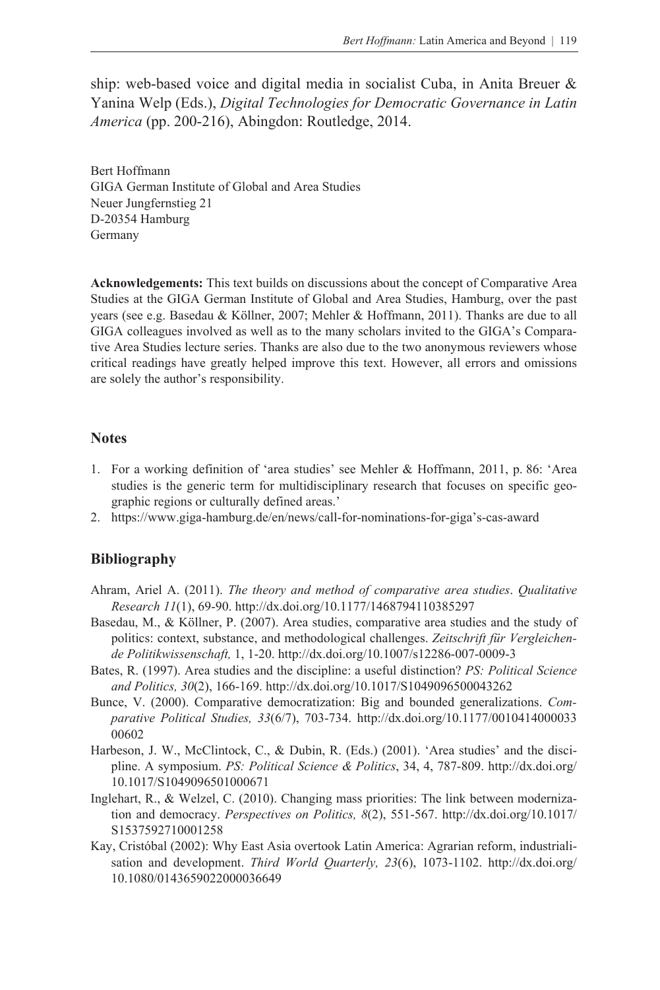ship: web-based voice and digital media in socialist Cuba, in Anita Breuer & Yanina Welp (Eds.), *Digital Technologies for Democratic Governance in Latin America* (pp. 200-216), Abingdon: Routledge, 2014.

Bert Hoffmann GIGA German Institute of Global and Area Studies Neuer Jungfernstieg 21 D-20354 Hamburg Germany

**Acknowledgements:** This text builds on discussions about the concept of Comparative Area Studies at the GIGA German Institute of Global and Area Studies, Hamburg, over the past years (see e.g. Basedau & Köllner, 2007; Mehler & Hoffmann, 2011). Thanks are due to all GIGA colleagues involved as well as to the many scholars invited to the GIGA's Comparative Area Studies lecture series. Thanks are also due to the two anonymous reviewers whose critical readings have greatly helped improve this text. However, all errors and omissions are solely the author's responsibility.

### **Notes**

- 1. For a working definition of 'area studies' see Mehler & Hoffmann, 2011, p. 86: 'Area studies is the generic term for multidisciplinary research that focuses on specific geographic regions or culturally defined areas.'
- 2. https://www.giga-hamburg.de/en/news/call-for-nominations-for-giga's-cas-award

## **Bibliography**

- Ahram, Ariel A. (2011). *The theory and method of comparative area studies*. *Qualitative Research 11*(1), 69-90. http://dx.doi.org/10.1177/1468794110385297
- Basedau, M., & Köllner, P. (2007). Area studies, comparative area studies and the study of politics: context, substance, and methodological challenges. *Zeitschrift für Vergleichende Politikwissenschaft,* 1, 1-20. http://dx.doi.org/10.1007/s12286-007-0009-3
- Bates, R. (1997). Area studies and the discipline: a useful distinction? *PS: Political Science and Politics, 30*(2), 166-169. http://dx.doi.org/10.1017/S1049096500043262
- Bunce, V. (2000). Comparative democratization: Big and bounded generalizations. *Comparative Political Studies, 33*(6/7), 703-734. http://dx.doi.org/10.1177/0010414000033 00602
- Harbeson, J. W., McClintock, C., & Dubin, R. (Eds.) (2001). 'Area studies' and the discipline. A symposium. *PS: Political Science & Politics*, 34, 4, 787-809. http://dx.doi.org/ 10.1017/S1049096501000671
- Inglehart, R., & Welzel, C. (2010). Changing mass priorities: The link between modernization and democracy. *Perspectives on Politics, 8*(2), 551-567. http://dx.doi.org/10.1017/ S1537592710001258
- Kay, Cristóbal (2002): Why East Asia overtook Latin America: Agrarian reform, industrialisation and development. *Third World Quarterly, 23*(6), 1073-1102. http://dx.doi.org/ 10.1080/0143659022000036649